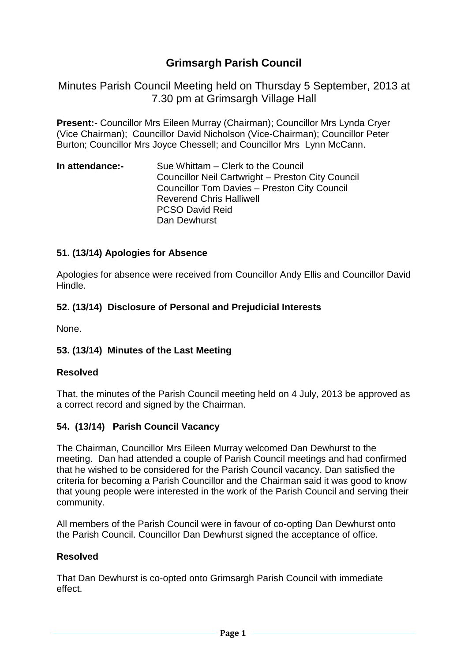# **Grimsargh Parish Council**

Minutes Parish Council Meeting held on Thursday 5 September, 2013 at 7.30 pm at Grimsargh Village Hall

**Present:-** Councillor Mrs Eileen Murray (Chairman); Councillor Mrs Lynda Cryer (Vice Chairman); Councillor David Nicholson (Vice-Chairman); Councillor Peter Burton; Councillor Mrs Joyce Chessell; and Councillor Mrs Lynn McCann.

**In attendance:-** Sue Whittam – Clerk to the Council Councillor Neil Cartwright – Preston City Council Councillor Tom Davies – Preston City Council Reverend Chris Halliwell PCSO David Reid Dan Dewhurst

#### **51. (13/14) Apologies for Absence**

Apologies for absence were received from Councillor Andy Ellis and Councillor David Hindle.

#### **52. (13/14) Disclosure of Personal and Prejudicial Interests**

None.

#### **53. (13/14) Minutes of the Last Meeting**

#### **Resolved**

That, the minutes of the Parish Council meeting held on 4 July, 2013 be approved as a correct record and signed by the Chairman.

#### **54. (13/14) Parish Council Vacancy**

The Chairman, Councillor Mrs Eileen Murray welcomed Dan Dewhurst to the meeting. Dan had attended a couple of Parish Council meetings and had confirmed that he wished to be considered for the Parish Council vacancy. Dan satisfied the criteria for becoming a Parish Councillor and the Chairman said it was good to know that young people were interested in the work of the Parish Council and serving their community.

All members of the Parish Council were in favour of co-opting Dan Dewhurst onto the Parish Council. Councillor Dan Dewhurst signed the acceptance of office.

#### **Resolved**

That Dan Dewhurst is co-opted onto Grimsargh Parish Council with immediate effect.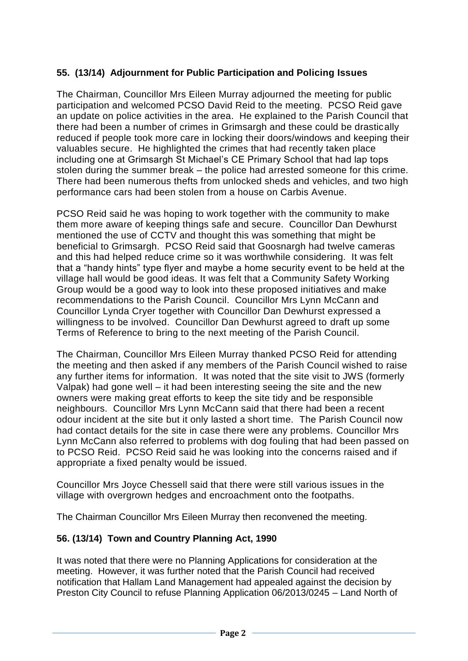## **55. (13/14) Adjournment for Public Participation and Policing Issues**

The Chairman, Councillor Mrs Eileen Murray adjourned the meeting for public participation and welcomed PCSO David Reid to the meeting. PCSO Reid gave an update on police activities in the area. He explained to the Parish Council that there had been a number of crimes in Grimsargh and these could be drastically reduced if people took more care in locking their doors/windows and keeping their valuables secure. He highlighted the crimes that had recently taken place including one at Grimsargh St Michael's CE Primary School that had lap tops stolen during the summer break – the police had arrested someone for this crime. There had been numerous thefts from unlocked sheds and vehicles, and two high performance cars had been stolen from a house on Carbis Avenue.

PCSO Reid said he was hoping to work together with the community to make them more aware of keeping things safe and secure. Councillor Dan Dewhurst mentioned the use of CCTV and thought this was something that might be beneficial to Grimsargh. PCSO Reid said that Goosnargh had twelve cameras and this had helped reduce crime so it was worthwhile considering. It was felt that a "handy hints" type flyer and maybe a home security event to be held at the village hall would be good ideas. It was felt that a Community Safety Working Group would be a good way to look into these proposed initiatives and make recommendations to the Parish Council. Councillor Mrs Lynn McCann and Councillor Lynda Cryer together with Councillor Dan Dewhurst expressed a willingness to be involved. Councillor Dan Dewhurst agreed to draft up some Terms of Reference to bring to the next meeting of the Parish Council.

The Chairman, Councillor Mrs Eileen Murray thanked PCSO Reid for attending the meeting and then asked if any members of the Parish Council wished to raise any further items for information. It was noted that the site visit to JWS (formerly Valpak) had gone well – it had been interesting seeing the site and the new owners were making great efforts to keep the site tidy and be responsible neighbours. Councillor Mrs Lynn McCann said that there had been a recent odour incident at the site but it only lasted a short time. The Parish Council now had contact details for the site in case there were any problems. Councillor Mrs Lynn McCann also referred to problems with dog fouling that had been passed on to PCSO Reid. PCSO Reid said he was looking into the concerns raised and if appropriate a fixed penalty would be issued.

Councillor Mrs Joyce Chessell said that there were still various issues in the village with overgrown hedges and encroachment onto the footpaths.

The Chairman Councillor Mrs Eileen Murray then reconvened the meeting.

#### **56. (13/14) Town and Country Planning Act, 1990**

It was noted that there were no Planning Applications for consideration at the meeting. However, it was further noted that the Parish Council had received notification that Hallam Land Management had appealed against the decision by Preston City Council to refuse Planning Application 06/2013/0245 – Land North of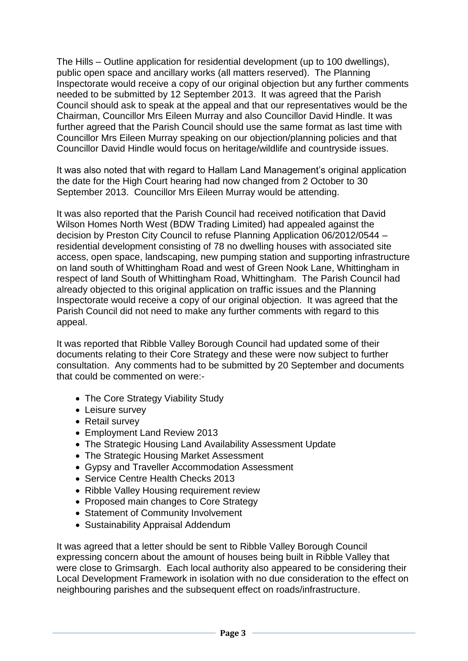The Hills – Outline application for residential development (up to 100 dwellings), public open space and ancillary works (all matters reserved). The Planning Inspectorate would receive a copy of our original objection but any further comments needed to be submitted by 12 September 2013. It was agreed that the Parish Council should ask to speak at the appeal and that our representatives would be the Chairman, Councillor Mrs Eileen Murray and also Councillor David Hindle. It was further agreed that the Parish Council should use the same format as last time with Councillor Mrs Eileen Murray speaking on our objection/planning policies and that Councillor David Hindle would focus on heritage/wildlife and countryside issues.

It was also noted that with regard to Hallam Land Management's original application the date for the High Court hearing had now changed from 2 October to 30 September 2013. Councillor Mrs Eileen Murray would be attending.

It was also reported that the Parish Council had received notification that David Wilson Homes North West (BDW Trading Limited) had appealed against the decision by Preston City Council to refuse Planning Application 06/2012/0544 – residential development consisting of 78 no dwelling houses with associated site access, open space, landscaping, new pumping station and supporting infrastructure on land south of Whittingham Road and west of Green Nook Lane, Whittingham in respect of land South of Whittingham Road, Whittingham. The Parish Council had already objected to this original application on traffic issues and the Planning Inspectorate would receive a copy of our original objection. It was agreed that the Parish Council did not need to make any further comments with regard to this appeal.

It was reported that Ribble Valley Borough Council had updated some of their documents relating to their Core Strategy and these were now subject to further consultation. Any comments had to be submitted by 20 September and documents that could be commented on were:-

- The Core Strategy Viability Study
- Leisure survey
- Retail survey
- Employment Land Review 2013
- The Strategic Housing Land Availability Assessment Update
- The Strategic Housing Market Assessment
- Gypsy and Traveller Accommodation Assessment
- Service Centre Health Checks 2013
- Ribble Valley Housing requirement review
- Proposed main changes to Core Strategy
- Statement of Community Involvement
- Sustainability Appraisal Addendum

It was agreed that a letter should be sent to Ribble Valley Borough Council expressing concern about the amount of houses being built in Ribble Valley that were close to Grimsargh. Each local authority also appeared to be considering their Local Development Framework in isolation with no due consideration to the effect on neighbouring parishes and the subsequent effect on roads/infrastructure.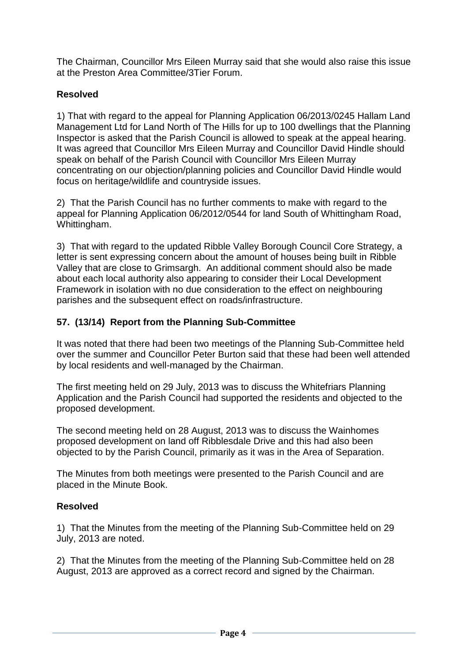The Chairman, Councillor Mrs Eileen Murray said that she would also raise this issue at the Preston Area Committee/3Tier Forum.

### **Resolved**

1) That with regard to the appeal for Planning Application 06/2013/0245 Hallam Land Management Ltd for Land North of The Hills for up to 100 dwellings that the Planning Inspector is asked that the Parish Council is allowed to speak at the appeal hearing. It was agreed that Councillor Mrs Eileen Murray and Councillor David Hindle should speak on behalf of the Parish Council with Councillor Mrs Eileen Murray concentrating on our objection/planning policies and Councillor David Hindle would focus on heritage/wildlife and countryside issues.

2) That the Parish Council has no further comments to make with regard to the appeal for Planning Application 06/2012/0544 for land South of Whittingham Road, Whittingham.

3) That with regard to the updated Ribble Valley Borough Council Core Strategy, a letter is sent expressing concern about the amount of houses being built in Ribble Valley that are close to Grimsargh. An additional comment should also be made about each local authority also appearing to consider their Local Development Framework in isolation with no due consideration to the effect on neighbouring parishes and the subsequent effect on roads/infrastructure.

### **57. (13/14) Report from the Planning Sub-Committee**

It was noted that there had been two meetings of the Planning Sub-Committee held over the summer and Councillor Peter Burton said that these had been well attended by local residents and well-managed by the Chairman.

The first meeting held on 29 July, 2013 was to discuss the Whitefriars Planning Application and the Parish Council had supported the residents and objected to the proposed development.

The second meeting held on 28 August, 2013 was to discuss the Wainhomes proposed development on land off Ribblesdale Drive and this had also been objected to by the Parish Council, primarily as it was in the Area of Separation.

The Minutes from both meetings were presented to the Parish Council and are placed in the Minute Book.

### **Resolved**

1) That the Minutes from the meeting of the Planning Sub-Committee held on 29 July, 2013 are noted.

2) That the Minutes from the meeting of the Planning Sub-Committee held on 28 August, 2013 are approved as a correct record and signed by the Chairman.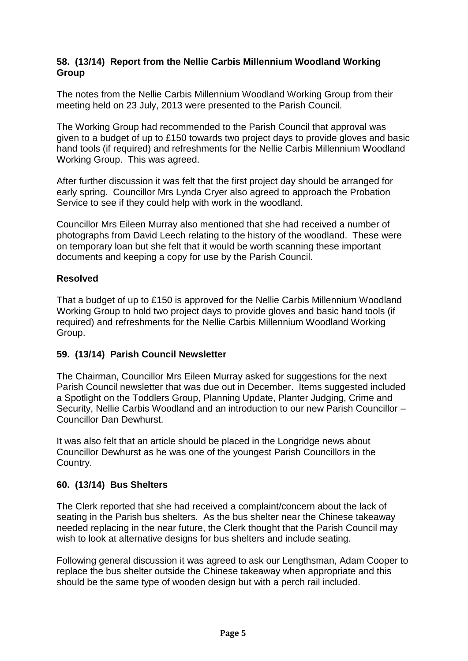#### **58. (13/14) Report from the Nellie Carbis Millennium Woodland Working Group**

The notes from the Nellie Carbis Millennium Woodland Working Group from their meeting held on 23 July, 2013 were presented to the Parish Council.

The Working Group had recommended to the Parish Council that approval was given to a budget of up to £150 towards two project days to provide gloves and basic hand tools (if required) and refreshments for the Nellie Carbis Millennium Woodland Working Group. This was agreed.

After further discussion it was felt that the first project day should be arranged for early spring. Councillor Mrs Lynda Cryer also agreed to approach the Probation Service to see if they could help with work in the woodland.

Councillor Mrs Eileen Murray also mentioned that she had received a number of photographs from David Leech relating to the history of the woodland. These were on temporary loan but she felt that it would be worth scanning these important documents and keeping a copy for use by the Parish Council.

### **Resolved**

That a budget of up to £150 is approved for the Nellie Carbis Millennium Woodland Working Group to hold two project days to provide gloves and basic hand tools (if required) and refreshments for the Nellie Carbis Millennium Woodland Working Group.

### **59. (13/14) Parish Council Newsletter**

The Chairman, Councillor Mrs Eileen Murray asked for suggestions for the next Parish Council newsletter that was due out in December. Items suggested included a Spotlight on the Toddlers Group, Planning Update, Planter Judging, Crime and Security, Nellie Carbis Woodland and an introduction to our new Parish Councillor – Councillor Dan Dewhurst.

It was also felt that an article should be placed in the Longridge news about Councillor Dewhurst as he was one of the youngest Parish Councillors in the Country.

### **60. (13/14) Bus Shelters**

The Clerk reported that she had received a complaint/concern about the lack of seating in the Parish bus shelters. As the bus shelter near the Chinese takeaway needed replacing in the near future, the Clerk thought that the Parish Council may wish to look at alternative designs for bus shelters and include seating.

Following general discussion it was agreed to ask our Lengthsman, Adam Cooper to replace the bus shelter outside the Chinese takeaway when appropriate and this should be the same type of wooden design but with a perch rail included.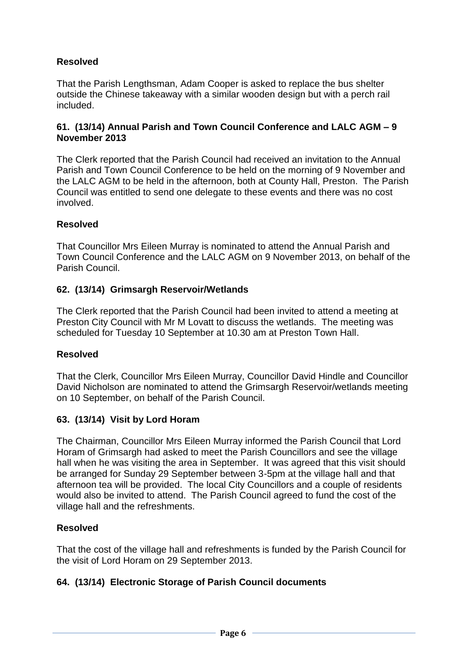## **Resolved**

That the Parish Lengthsman, Adam Cooper is asked to replace the bus shelter outside the Chinese takeaway with a similar wooden design but with a perch rail included.

#### **61. (13/14) Annual Parish and Town Council Conference and LALC AGM – 9 November 2013**

The Clerk reported that the Parish Council had received an invitation to the Annual Parish and Town Council Conference to be held on the morning of 9 November and the LALC AGM to be held in the afternoon, both at County Hall, Preston. The Parish Council was entitled to send one delegate to these events and there was no cost involved.

### **Resolved**

That Councillor Mrs Eileen Murray is nominated to attend the Annual Parish and Town Council Conference and the LALC AGM on 9 November 2013, on behalf of the Parish Council.

### **62. (13/14) Grimsargh Reservoir/Wetlands**

The Clerk reported that the Parish Council had been invited to attend a meeting at Preston City Council with Mr M Lovatt to discuss the wetlands. The meeting was scheduled for Tuesday 10 September at 10.30 am at Preston Town Hall.

### **Resolved**

That the Clerk, Councillor Mrs Eileen Murray, Councillor David Hindle and Councillor David Nicholson are nominated to attend the Grimsargh Reservoir/wetlands meeting on 10 September, on behalf of the Parish Council.

### **63. (13/14) Visit by Lord Horam**

The Chairman, Councillor Mrs Eileen Murray informed the Parish Council that Lord Horam of Grimsargh had asked to meet the Parish Councillors and see the village hall when he was visiting the area in September. It was agreed that this visit should be arranged for Sunday 29 September between 3-5pm at the village hall and that afternoon tea will be provided. The local City Councillors and a couple of residents would also be invited to attend. The Parish Council agreed to fund the cost of the village hall and the refreshments.

### **Resolved**

That the cost of the village hall and refreshments is funded by the Parish Council for the visit of Lord Horam on 29 September 2013.

### **64. (13/14) Electronic Storage of Parish Council documents**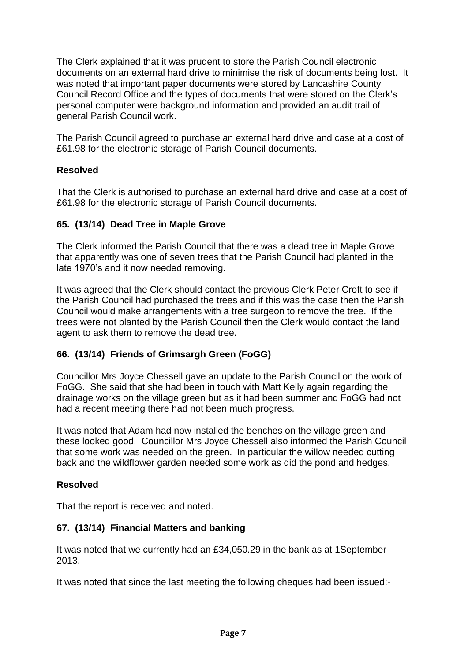The Clerk explained that it was prudent to store the Parish Council electronic documents on an external hard drive to minimise the risk of documents being lost. It was noted that important paper documents were stored by Lancashire County Council Record Office and the types of documents that were stored on the Clerk's personal computer were background information and provided an audit trail of general Parish Council work.

The Parish Council agreed to purchase an external hard drive and case at a cost of £61.98 for the electronic storage of Parish Council documents.

### **Resolved**

That the Clerk is authorised to purchase an external hard drive and case at a cost of £61.98 for the electronic storage of Parish Council documents.

### **65. (13/14) Dead Tree in Maple Grove**

The Clerk informed the Parish Council that there was a dead tree in Maple Grove that apparently was one of seven trees that the Parish Council had planted in the late 1970's and it now needed removing.

It was agreed that the Clerk should contact the previous Clerk Peter Croft to see if the Parish Council had purchased the trees and if this was the case then the Parish Council would make arrangements with a tree surgeon to remove the tree. If the trees were not planted by the Parish Council then the Clerk would contact the land agent to ask them to remove the dead tree.

## **66. (13/14) Friends of Grimsargh Green (FoGG)**

Councillor Mrs Joyce Chessell gave an update to the Parish Council on the work of FoGG. She said that she had been in touch with Matt Kelly again regarding the drainage works on the village green but as it had been summer and FoGG had not had a recent meeting there had not been much progress.

It was noted that Adam had now installed the benches on the village green and these looked good. Councillor Mrs Joyce Chessell also informed the Parish Council that some work was needed on the green. In particular the willow needed cutting back and the wildflower garden needed some work as did the pond and hedges.

## **Resolved**

That the report is received and noted.

### **67. (13/14) Financial Matters and banking**

It was noted that we currently had an £34,050.29 in the bank as at 1September 2013.

It was noted that since the last meeting the following cheques had been issued:-